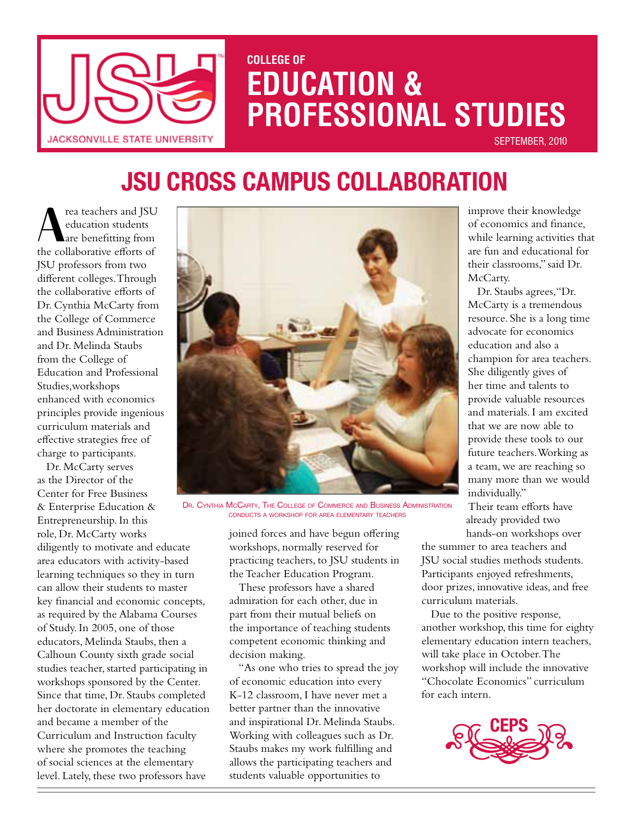

# **COLLEGE OF EDUCATION & PROFESSIONAL STUDIES**

SEPTEMBER, 2010

# **JSU Cross Campus Collaboration**

Fra teachers and JSU<br>
education students<br>
are benefitting from<br>
the collaborative efforts of education students are benefitting from the collaborative efforts of JSU professors from two different colleges. Through the collaborative efforts of Dr. Cynthia McCarty from the College of Commerce and Business Administration and Dr. Melinda Staubs from the College of Education and Professional Studies,workshops enhanced with economics principles provide ingenious curriculum materials and effective strategies free of charge to participants.

Dr. McCarty serves as the Director of the Center for Free Business & Enterprise Education & Entrepreneurship. In this role, Dr. McCarty works diligently to motivate and educate area educators with activity-based learning techniques so they in turn can allow their students to master key financial and economic concepts, as required by the Alabama Courses of Study. In 2005, one of those educators, Melinda Staubs, then a Calhoun County sixth grade social studies teacher, started participating in workshops sponsored by the Center. Since that time, Dr. Staubs completed her doctorate in elementary education and became a member of the Curriculum and Instruction faculty where she promotes the teaching of social sciences at the elementary level. Lately, these two professors have



Dr. Cynthia McCarty, The College of Commerce and Business Administration conducts a workshop for area elementary teachers

joined forces and have begun offering workshops, normally reserved for practicing teachers, to JSU students in the Teacher Education Program.

These professors have a shared admiration for each other, due in part from their mutual beliefs on the importance of teaching students competent economic thinking and decision making.

"As one who tries to spread the joy of economic education into every K-12 classroom, I have never met a better partner than the innovative and inspirational Dr. Melinda Staubs. Working with colleagues such as Dr. Staubs makes my work fulfilling and allows the participating teachers and students valuable opportunities to

improve their knowledge of economics and finance, while learning activities that are fun and educational for their classrooms," said Dr. McCarty.

 Dr. Staubs agrees,"Dr. McCarty is a tremendous resource. She is a long time advocate for economics education and also a champion for area teachers. She diligently gives of her time and talents to provide valuable resources and materials. I am excited that we are now able to provide these tools to our future teachers. Working as a team, we are reaching so many more than we would individually."

Their team efforts have already provided two hands-on workshops over

the summer to area teachers and JSU social studies methods students. Participants enjoyed refreshments, door prizes, innovative ideas, and free curriculum materials.

Due to the positive response, another workshop, this time for eighty elementary education intern teachers, will take place in October. The workshop will include the innovative "Chocolate Economics" curriculum for each intern.

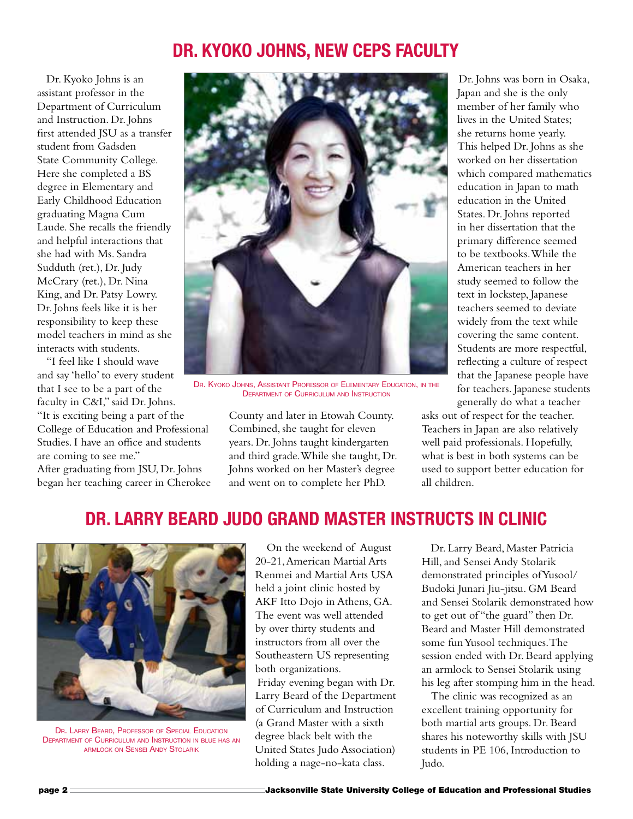# **Dr. Kyoko Johns, New CEPS Faculty**

Dr. Kyoko Johns is an assistant professor in the Department of Curriculum and Instruction. Dr. Johns first attended JSU as a transfer student from Gadsden State Community College. Here she completed a BS degree in Elementary and Early Childhood Education graduating Magna Cum Laude. She recalls the friendly and helpful interactions that she had with Ms. Sandra Sudduth (ret.), Dr. Judy McCrary (ret.), Dr. Nina King, and Dr. Patsy Lowry. Dr. Johns feels like it is her responsibility to keep these model teachers in mind as she interacts with students.

"I feel like I should wave and say 'hello' to every student that I see to be a part of the faculty in C&I," said Dr. Johns. "It is exciting being a part of the College of Education and Professional Studies. I have an office and students are coming to see me."

After graduating from JSU, Dr. Johns began her teaching career in Cherokee



DR. KYOKO JOHNS, ASSISTANT PROFESSOR OF ELEMENTARY EDUCATION, IN THE Department of Curriculum and Instruction

County and later in Etowah County. Combined, she taught for eleven years. Dr. Johns taught kindergarten and third grade. While she taught, Dr. Johns worked on her Master's degree and went on to complete her PhD.

Dr. Johns was born in Osaka, Japan and she is the only member of her family who lives in the United States; she returns home yearly. This helped Dr. Johns as she worked on her dissertation which compared mathematics education in Japan to math education in the United States. Dr. Johns reported in her dissertation that the primary difference seemed to be textbooks. While the American teachers in her study seemed to follow the text in lockstep, Japanese teachers seemed to deviate widely from the text while covering the same content. Students are more respectful, reflecting a culture of respect that the Japanese people have for teachers. Japanese students generally do what a teacher

asks out of respect for the teacher. Teachers in Japan are also relatively well paid professionals. Hopefully, what is best in both systems can be used to support better education for all children.

# **Dr. Larry Beard Judo Grand Master Instructs in Clinic**



DR. LARRY BEARD, PROFESSOR OF SPECIAL EDUCATION Department of Curriculum and Instruction in blue has an armlock on Sensei Andy Stolarik

 On the weekend of August 20-21, American Martial Arts Renmei and Martial Arts USA held a joint clinic hosted by AKF Itto Dojo in Athens, GA. The event was well attended by over thirty students and instructors from all over the Southeastern US representing both organizations. Friday evening began with Dr. Larry Beard of the Department of Curriculum and Instruction (a Grand Master with a sixth degree black belt with the United States Judo Association) holding a nage-no-kata class.

Dr. Larry Beard, Master Patricia Hill, and Sensei Andy Stolarik demonstrated principles of Yusool/ Budoki Junari Jiu-jitsu. GM Beard and Sensei Stolarik demonstrated how to get out of "the guard" then Dr. Beard and Master Hill demonstrated some fun Yusool techniques. The session ended with Dr. Beard applying an armlock to Sensei Stolarik using his leg after stomping him in the head.

The clinic was recognized as an excellent training opportunity for both martial arts groups. Dr. Beard shares his noteworthy skills with JSU students in PE 106, Introduction to Judo.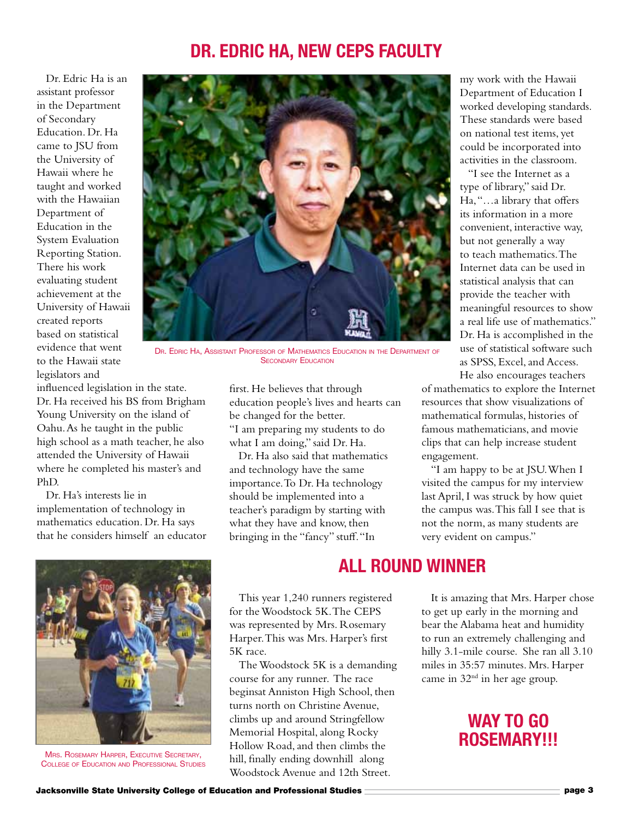#### **Dr. Edric Ha, New CEPS Faculty**

Dr. Edric Ha is an assistant professor in the Department of Secondary Education. Dr. Ha came to JSU from the University of Hawaii where he taught and worked with the Hawaiian Department of Education in the System Evaluation Reporting Station. There his work evaluating student achievement at the University of Hawaii created reports based on statistical evidence that went to the Hawaii state legislators and



DR. EDRIC HA, ASSISTANT PROFESSOR OF MATHEMATICS EDUCATION IN THE DEPARTMENT OF **SECONDARY EDUCATION** 

influenced legislation in the state. Dr. Ha received his BS from Brigham Young University on the island of Oahu. As he taught in the public high school as a math teacher, he also attended the University of Hawaii where he completed his master's and PhD.

Dr. Ha's interests lie in implementation of technology in mathematics education. Dr. Ha says that he considers himself an educator



Mrs. Rosemary Harper, Executive Secretary, College of Education and Professional Studies

first. He believes that through education people's lives and hearts can be changed for the better. "I am preparing my students to do what I am doing," said Dr. Ha.

Dr. Ha also said that mathematics and technology have the same importance. To Dr. Ha technology should be implemented into a teacher's paradigm by starting with what they have and know, then bringing in the "fancy" stuff. "In

my work with the Hawaii Department of Education I worked developing standards. These standards were based on national test items, yet could be incorporated into activities in the classroom.

"I see the Internet as a type of library," said Dr. Ha, "…a library that offers its information in a more convenient, interactive way, but not generally a way to teach mathematics. The Internet data can be used in statistical analysis that can provide the teacher with meaningful resources to show a real life use of mathematics." Dr. Ha is accomplished in the use of statistical software such as SPSS, Excel, and Access. He also encourages teachers

of mathematics to explore the Internet resources that show visualizations of mathematical formulas, histories of famous mathematicians, and movie clips that can help increase student engagement.

"I am happy to be at JSU. When I visited the campus for my interview last April, I was struck by how quiet the campus was. This fall I see that is not the norm, as many students are very evident on campus."

# **All Round Winner**

This year 1,240 runners registered for the Woodstock 5K. The CEPS was represented by Mrs. Rosemary Harper. This was Mrs. Harper's first 5K race.

The Woodstock 5K is a demanding course for any runner. The race beginsat Anniston High School, then turns north on Christine Avenue, climbs up and around Stringfellow Memorial Hospital, along Rocky Hollow Road, and then climbs the hill, finally ending downhill along Woodstock Avenue and 12th Street.

It is amazing that Mrs. Harper chose to get up early in the morning and bear the Alabama heat and humidity to run an extremely challenging and hilly 3.1-mile course. She ran all 3.10 miles in 35:57 minutes. Mrs. Harper came in  $32<sup>nd</sup>$  in her age group.

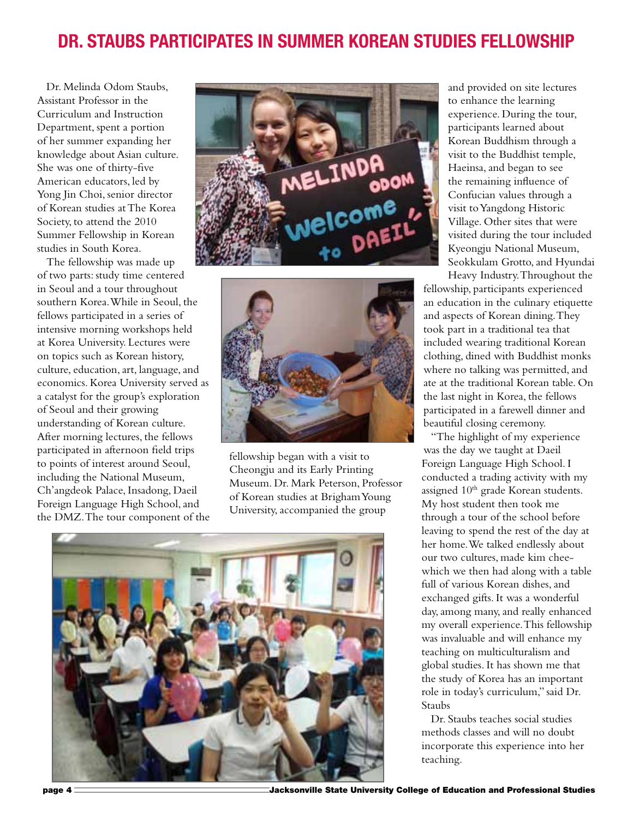# **Dr. Staubs Participates in Summer Korean Studies Fellowship**

Dr. Melinda Odom Staubs, Assistant Professor in the Curriculum and Instruction Department, spent a portion of her summer expanding her knowledge about Asian culture. She was one of thirty-five American educators, led by Yong Jin Choi, senior director of Korean studies at The Korea Society, to attend the 2010 Summer Fellowship in Korean studies in South Korea.

The fellowship was made up of two parts: study time centered in Seoul and a tour throughout southern Korea. While in Seoul, the fellows participated in a series of intensive morning workshops held at Korea University. Lectures were on topics such as Korean history, culture, education, art, language, and economics. Korea University served as a catalyst for the group's exploration of Seoul and their growing understanding of Korean culture. After morning lectures, the fellows participated in afternoon field trips to points of interest around Seoul, including the National Museum, Ch'angdeok Palace, Insadong, Daeil Foreign Language High School, and the DMZ. The tour component of the





fellowship began with a visit to Cheongju and its Early Printing Museum. Dr. Mark Peterson, Professor of Korean studies at Brigham Young University, accompanied the group



and provided on site lectures to enhance the learning experience. During the tour, participants learned about Korean Buddhism through a visit to the Buddhist temple, Haeinsa, and began to see the remaining influence of Confucian values through a visit to Yangdong Historic Village. Other sites that were visited during the tour included Kyeongju National Museum, Seokkulam Grotto, and Hyundai

Heavy Industry. Throughout the fellowship, participants experienced an education in the culinary etiquette and aspects of Korean dining. They took part in a traditional tea that included wearing traditional Korean clothing, dined with Buddhist monks where no talking was permitted, and ate at the traditional Korean table. On the last night in Korea, the fellows participated in a farewell dinner and beautiful closing ceremony.

"The highlight of my experience was the day we taught at Daeil Foreign Language High School. I conducted a trading activity with my assigned 10<sup>th</sup> grade Korean students. My host student then took me through a tour of the school before leaving to spend the rest of the day at her home. We talked endlessly about our two cultures, made kim cheewhich we then had along with a table full of various Korean dishes, and exchanged gifts. It was a wonderful day, among many, and really enhanced my overall experience. This fellowship was invaluable and will enhance my teaching on multiculturalism and global studies. It has shown me that the study of Korea has an important role in today's curriculum," said Dr. Staubs

Dr. Staubs teaches social studies methods classes and will no doubt incorporate this experience into her teaching.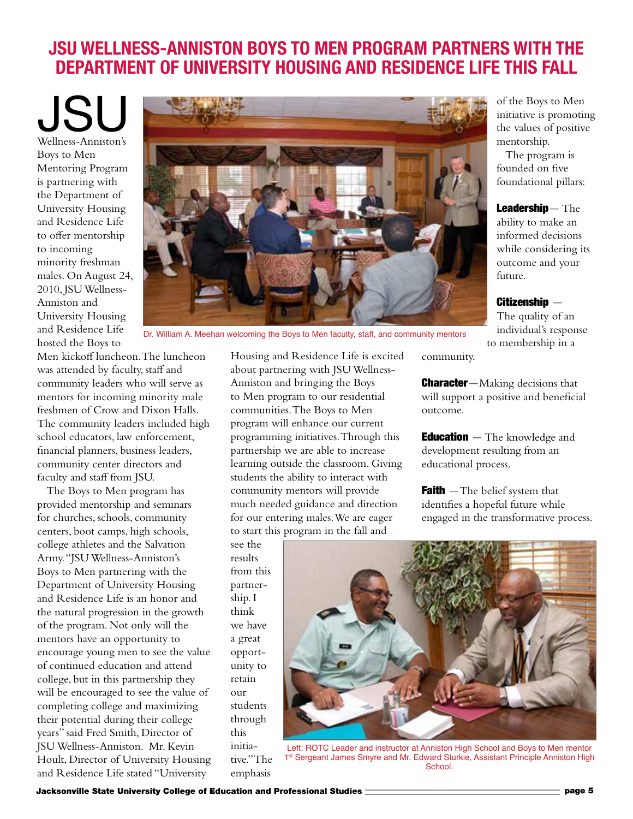# **JSU Wellness-Anniston Boys to Men Program Partners with the Department of University Housing and Residence Life this Fall**

JSU Wellness-Anniston's Boys to Men Mentoring Program is partnering with the Department of University Housing and Residence Life to offer mentorship to incoming minority freshman males. On August 24, 2010, JSU Wellness-Anniston and University Housing and Residence Life hosted the Boys to



Dr. William A. Meehan welcoming the Boys to Men faculty, staff, and community mentors

Men kickoff luncheon. The luncheon was attended by faculty, staff and community leaders who will serve as mentors for incoming minority male freshmen of Crow and Dixon Halls. The community leaders included high school educators, law enforcement, financial planners, business leaders, community center directors and faculty and staff from JSU.

The Boys to Men program has provided mentorship and seminars for churches, schools, community centers, boot camps, high schools, college athletes and the Salvation Army. "JSU Wellness-Anniston's Boys to Men partnering with the Department of University Housing and Residence Life is an honor and the natural progression in the growth of the program. Not only will the mentors have an opportunity to encourage young men to see the value of continued education and attend college, but in this partnership they will be encouraged to see the value of completing college and maximizing their potential during their college years" said Fred Smith, Director of JSU Wellness-Anniston. Mr. Kevin Hoult, Director of University Housing and Residence Life stated "University

Housing and Residence Life is excited about partnering with JSU Wellness-Anniston and bringing the Boys to Men program to our residential communities. The Boys to Men program will enhance our current programming initiatives. Through this partnership we are able to increase learning outside the classroom. Giving students the ability to interact with community mentors will provide much needed guidance and direction for our entering males. We are eager to start this program in the fall and

see the results from this partnership. I think we have a great opportunity to retain  $\alpha$ <sup>11r</sup> students through this initiative." The emphasis



Left: ROTC Leader and instructor at Anniston High School and Boys to Men mentor 1<sup>st</sup> Sergeant James Smyre and Mr. Edward Sturkie, Assistant Principle Anniston High **School.** 

of the Boys to Men initiative is promoting the values of positive mentorship.

The program is founded on five foundational pillars:

Leadership - The ability to make an informed decisions while considering its outcome and your future.

 $Citizenship -$ 

The quality of an individual's response to membership in a

community.

**Character**-Making decisions that will support a positive and beneficial outcome.

**Education** - The knowledge and development resulting from an educational process.

**Faith**  $-\text{The belief system that}$ identifies a hopeful future while engaged in the transformative process.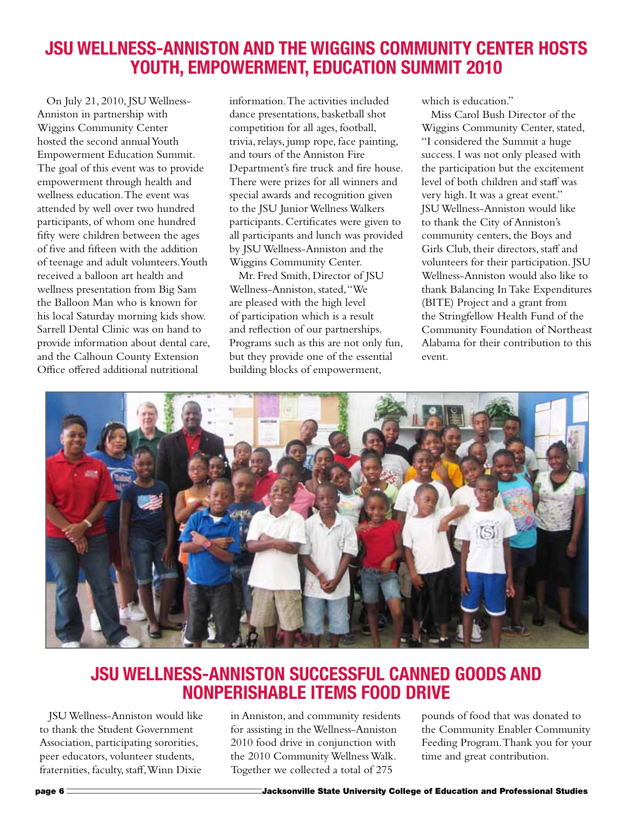# **JSU Wellness-Anniston and the Wiggins Community Center Hosts Youth, Empowerment, Education Summit 2010**

On July 21, 2010, JSU Wellness-Anniston in partnership with Wiggins Community Center hosted the second annual Youth Empowerment Education Summit. The goal of this event was to provide empowerment through health and wellness education. The event was attended by well over two hundred participants, of whom one hundred fifty were children between the ages of five and fifteen with the addition of teenage and adult volunteers. Youth received a balloon art health and wellness presentation from Big Sam the Balloon Man who is known for his local Saturday morning kids show. Sarrell Dental Clinic was on hand to provide information about dental care, and the Calhoun County Extension Office offered additional nutritional

information. The activities included dance presentations, basketball shot competition for all ages, football, trivia, relays, jump rope, face painting, and tours of the Anniston Fire Department's fire truck and fire house. There were prizes for all winners and special awards and recognition given to the JSU Junior Wellness Walkers participants. Certificates were given to all participants and lunch was provided by JSU Wellness-Anniston and the Wiggins Community Center.

Mr. Fred Smith, Director of JSU Wellness-Anniston, stated, "We are pleased with the high level of participation which is a result and reflection of our partnerships. Programs such as this are not only fun, but they provide one of the essential building blocks of empowerment,

which is education."

Miss Carol Bush Director of the Wiggins Community Center, stated, "I considered the Summit a huge success. I was not only pleased with the participation but the excitement level of both children and staff was very high. It was a great event." JSU Wellness-Anniston would like to thank the City of Anniston's community centers, the Boys and Girls Club, their directors, staff and volunteers for their participation. JSU Wellness-Anniston would also like to thank Balancing In Take Expenditures (BITE) Project and a grant from the Stringfellow Health Fund of the Community Foundation of Northeast Alabama for their contribution to this event.



# **JSU Wellness-Anniston successful canned goods and nonperishable items food drive**

JSU Wellness-Anniston would like to thank the Student Government Association, participating sororities, peer educators, volunteer students, fraternities, faculty, staff, Winn Dixie

in Anniston, and community residents for assisting in the Wellness-Anniston 2010 food drive in conjunction with the 2010 Community Wellness Walk. Together we collected a total of 275

pounds of food that was donated to the Community Enabler Community Feeding Program. Thank you for your time and great contribution.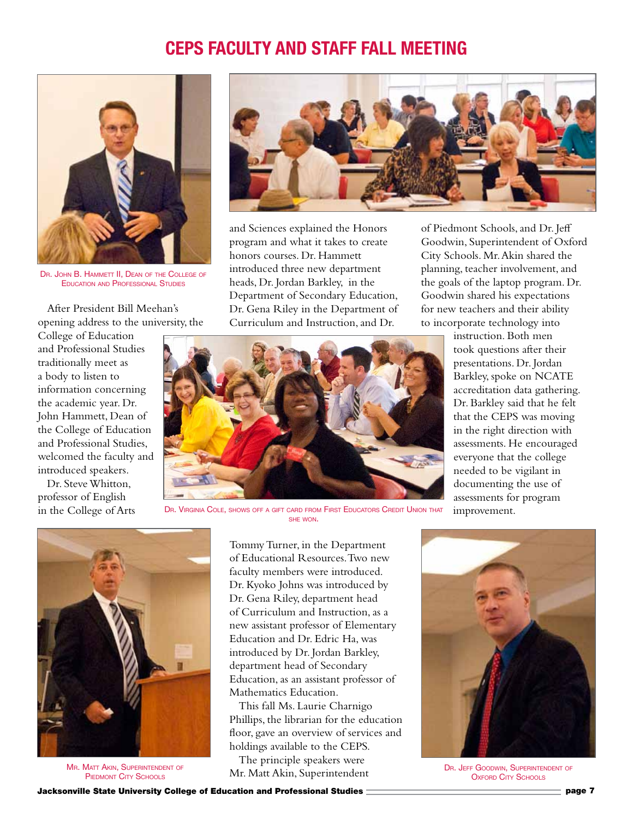# **CEPS Faculty and Staff Fall meeting**



DR. JOHN B. HAMMETT II. DEAN OF THE COLLEGE OF Education and Professional Studies

After President Bill Meehan's opening address to the university, the

College of Education and Professional Studies traditionally meet as a body to listen to information concerning the academic year. Dr. John Hammett, Dean of the College of Education and Professional Studies, welcomed the faculty and introduced speakers.

Dr. Steve Whitton, professor of English in the College of Arts



and Sciences explained the Honors program and what it takes to create honors courses. Dr. Hammett introduced three new department heads, Dr. Jordan Barkley, in the Department of Secondary Education, Dr. Gena Riley in the Department of Curriculum and Instruction, and Dr.

of Piedmont Schools, and Dr. Jeff Goodwin, Superintendent of Oxford City Schools. Mr. Akin shared the planning, teacher involvement, and the goals of the laptop program. Dr. Goodwin shared his expectations for new teachers and their ability to incorporate technology into



DR. VIRGINIA COLE, SHOWS OFF A GIFT CARD FROM FIRST EDUCATORS CREDIT UNION THAT she won.

instruction. Both men took questions after their presentations. Dr. Jordan Barkley, spoke on NCATE accreditation data gathering. Dr. Barkley said that he felt that the CEPS was moving in the right direction with assessments. He encouraged everyone that the college needed to be vigilant in documenting the use of assessments for program improvement.



**MR. MATT AKIN, SUPERINTENDENT OF** PIEDMONT CITY SCHOOLS

Tommy Turner, in the Department of Educational Resources. Two new faculty members were introduced. Dr. Kyoko Johns was introduced by Dr. Gena Riley, department head of Curriculum and Instruction, as a new assistant professor of Elementary Education and Dr. Edric Ha, was introduced by Dr. Jordan Barkley, department head of Secondary Education, as an assistant professor of Mathematics Education.

This fall Ms. Laurie Charnigo Phillips, the librarian for the education floor, gave an overview of services and holdings available to the CEPS.

The principle speakers were Mr. Matt Akin, Superintendent



DR. JEFF GOODWIN, SUPERINTENDENT OF **OXFORD CITY SCHOOLS**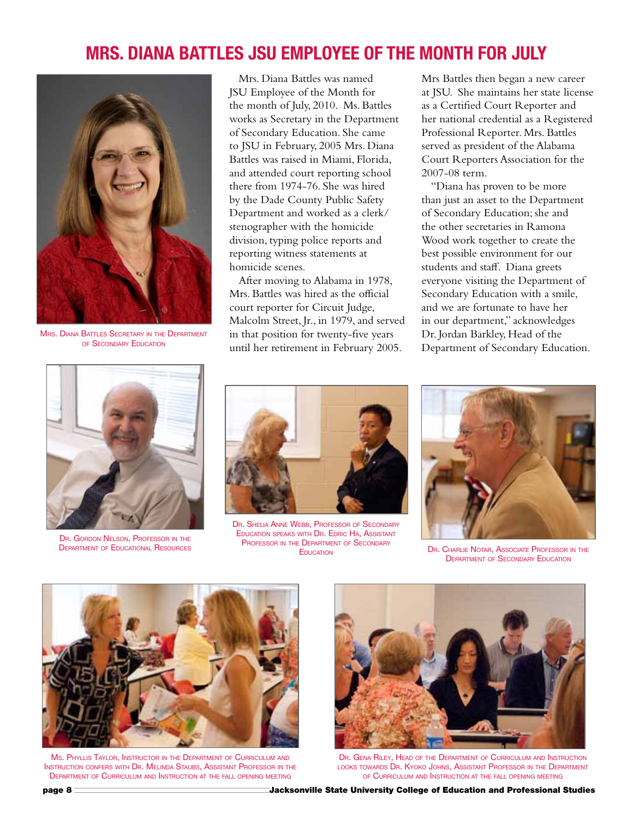# **Mrs. Diana Battles JSU Employee of the Month for July**



Mrs. Diana Battles Secretary in the Department of Secondary Education



DR. GORDON NELSON, PROFESSOR IN THE Department of Educational Resources

Mrs. Diana Battles was named JSU Employee of the Month for the month of July, 2010. Ms. Battles works as Secretary in the Department of Secondary Education. She came to JSU in February, 2005 Mrs. Diana Battles was raised in Miami, Florida, and attended court reporting school there from 1974-76. She was hired by the Dade County Public Safety Department and worked as a clerk/ stenographer with the homicide division, typing police reports and reporting witness statements at homicide scenes.

After moving to Alabama in 1978, Mrs. Battles was hired as the official court reporter for Circuit Judge, Malcolm Street, Jr., in 1979, and served in that position for twenty-five years until her retirement in February 2005.

Mrs Battles then began a new career at JSU. She maintains her state license as a Certified Court Reporter and her national credential as a Registered Professional Reporter. Mrs. Battles served as president of the Alabama Court Reporters Association for the 2007-08 term.

"Diana has proven to be more than just an asset to the Department of Secondary Education; she and the other secretaries in Ramona Wood work together to create the best possible environment for our students and staff. Diana greets everyone visiting the Department of Secondary Education with a smile, and we are fortunate to have her in our department," acknowledges Dr. Jordan Barkley, Head of the Department of Secondary Education.



DR. SHELIA ANNE WEBB, PROFESSOR OF SECONDARY Education speaks with Dr. Edric Ha, Assistant PROFESSOR IN THE DEPARTMENT OF SECONDARY



EDIATION OF SESSINGLY DR. CHARLIE NOTAR, ASSOCIATE PROFESSOR IN THE **DEPARTMENT OF SECONDARY EDUCATION** 



Ms. Phyllis Taylor, Instructor in the Department of Curriculum and Instruction confers with Dr. Melinda Staubs, Assistant Professor in the Department of Curriculum and Instruction at the fall opening meeting



Dr. Gena Riley, Head of the Department of Curriculum and Instruction looks towards Dr. Kyoko Johns, Assistant Professor in the Department of Curriculum and Instruction at the fall opening meeting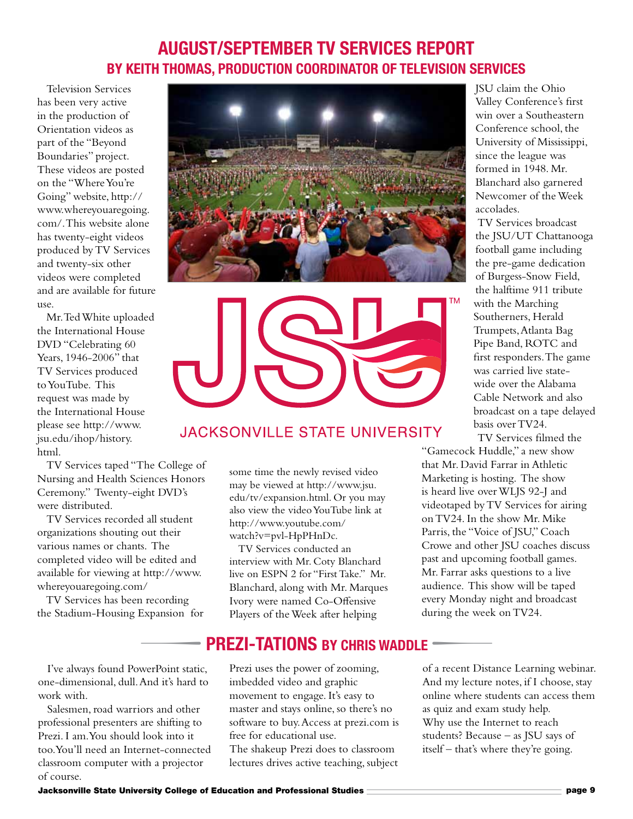#### **August/September TV Services Report by Keith Thomas, Production coordinator of Television Services**

Television Services has been very active in the production of Orientation videos as part of the "Beyond Boundaries" project. These videos are posted on the "Where You're Going" website, http:// www.whereyouaregoing. com/. This website alone has twenty-eight videos produced by TV Services and twenty-six other videos were completed and are available for future use.

Mr. Ted White uploaded the International House DVD "Celebrating 60 Years, 1946-2006" that TV Services produced to YouTube. This request was made by the International House please see http://www. jsu.edu/ihop/history. html.

TV Services taped "The College of Nursing and Health Sciences Honors Ceremony." Twenty-eight DVD's were distributed.

TV Services recorded all student organizations shouting out their various names or chants. The completed video will be edited and available for viewing at http://www. whereyouaregoing.com/

TV Services has been recording the Stadium-Housing Expansion for

I've always found PowerPoint static, one-dimensional, dull. And it's hard to work with.

Salesmen, road warriors and other professional presenters are shifting to Prezi. I am. You should look into it too. You'll need an Internet-connected classroom computer with a projector of course.





#### **JACKSONVILLE STATE UNIVERSITY**

some time the newly revised video may be viewed at http://www.jsu. edu/tv/expansion.html. Or you may also view the video YouTube link at http://www.youtube.com/ watch?v=pvl-HpPHnDc.

TV Services conducted an interview with Mr. Coty Blanchard live on ESPN 2 for "First Take." Mr. Blanchard, along with Mr. Marques Ivory were named Co-Offensive Players of the Week after helping

JSU claim the Ohio Valley Conference's first win over a Southeastern Conference school, the University of Mississippi, since the league was formed in 1948. Mr. Blanchard also garnered Newcomer of the Week accolades.

TV Services broadcast the JSU/UT Chattanooga football game including the pre-game dedication of Burgess-Snow Field, the halftime 911 tribute with the Marching Southerners, Herald Trumpets, Atlanta Bag Pipe Band, ROTC and first responders. The game was carried live statewide over the Alabama Cable Network and also broadcast on a tape delayed basis over TV24.

TV Services filmed the "Gamecock Huddle," a new show

that Mr. David Farrar in Athletic Marketing is hosting. The show is heard live over WLJS 92-J and videotaped by TV Services for airing on TV24. In the show Mr. Mike Parris, the "Voice of JSU," Coach Crowe and other JSU coaches discuss past and upcoming football games. Mr. Farrar asks questions to a live audience. This show will be taped every Monday night and broadcast during the week on TV24.

# **Prezi-tations By Chris Waddle** Ivory were handel Co-Offensive<br>Itadium-Housing Expansion for Players of the Week after helping<br>**PREZI-TATIONS BY CHRIS WADDLE**<br>e always found PowerPoint static, Prezi uses the power of zooming, of a recent Dist

Prezi uses the power of zooming, imbedded video and graphic movement to engage. It's easy to master and stays online, so there's no software to buy. Access at prezi.com is free for educational use. The shakeup Prezi does to classroom lectures drives active teaching, subject

of a recent Distance Learning webinar. And my lecture notes, if I choose, stay online where students can access them as quiz and exam study help. Why use the Internet to reach students? Because – as JSU says of itself – that's where they're going.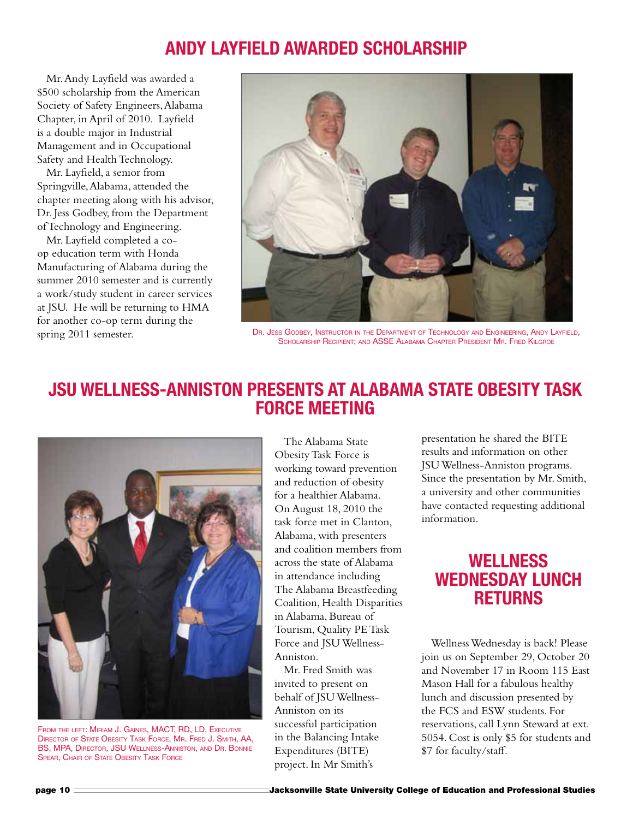# **Andy Layfield Awarded Scholarship**

Mr. Andy Layfield was awarded a \$500 scholarship from the American Society of Safety Engineers, Alabama Chapter, in April of 2010. Layfield is a double major in Industrial Management and in Occupational Safety and Health Technology.

Mr. Layfield, a senior from Springville, Alabama, attended the chapter meeting along with his advisor, Dr. Jess Godbey, from the Department of Technology and Engineering.

Mr. Layfield completed a coop education term with Honda Manufacturing of Alabama during the summer 2010 semester and is currently a work/study student in career services at JSU. He will be returning to HMA for another co-op term during the spring 2011 semester.



Dr. Jess Godbey, Instructor in the Department of Technology and Engineering, Andy Layfield, Scholarship Recipient; and ASSE Alabama Chapter President Mr. Fred Kilgroe

## **JSU Wellness-Anniston Presents at Alabama State Obesity Task Force Meeting**



FROM THE LEFT: MIRIAM J. GAINES, MACT, RD, LD, EXECUTIVE Director of State Obesity Task Force, Mr. Fred J. Smith, AA, BS, MPA, Director, JSU Wellness-Anniston, and Dr. Bonnie Spear, Chair of State Obesity Task Force

The Alabama State Obesity Task Force is working toward prevention and reduction of obesity for a healthier Alabama. On August 18, 2010 the task force met in Clanton, Alabama, with presenters and coalition members from across the state of Alabama in attendance including The Alabama Breastfeeding Coalition, Health Disparities in Alabama, Bureau of Tourism, Quality PE Task Force and JSU Wellness-Anniston.

Mr. Fred Smith was invited to present on behalf of JSU Wellness-Anniston on its successful participation in the Balancing Intake Expenditures (BITE) project. In Mr Smith's

presentation he shared the BITE results and information on other JSU Wellness-Anniston programs. Since the presentation by Mr. Smith, a university and other communities have contacted requesting additional information.

#### **Wellness Wednesday Lunch Returns**

Wellness Wednesday is back! Please join us on September 29, October 20 and November 17 in Room 115 East Mason Hall for a fabulous healthy lunch and discussion presented by the FCS and ESW students. For reservations, call Lynn Steward at ext. 5054. Cost is only \$5 for students and \$7 for faculty/staff.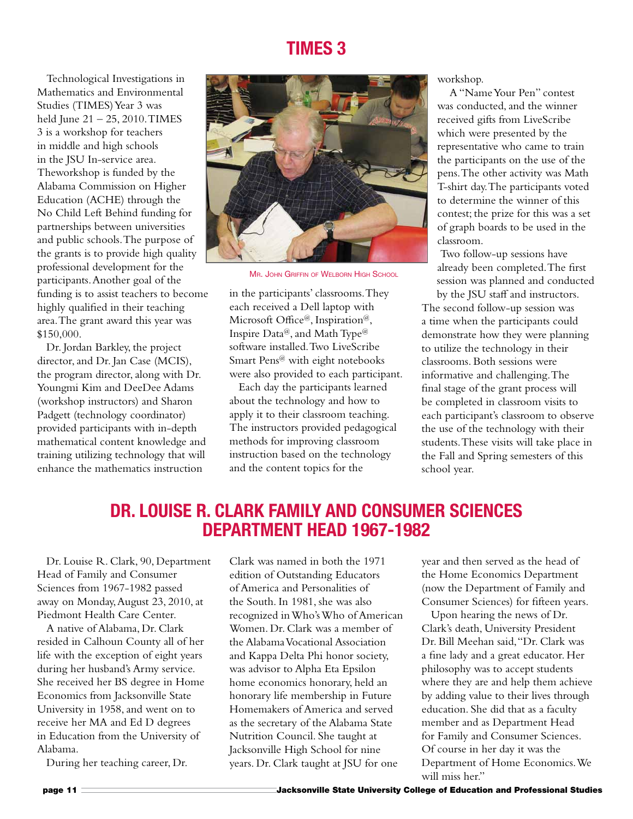#### **Times 3**

Technological Investigations in Mathematics and Environmental Studies (TIMES) Year 3 was held June 21 – 25, 2010. TIMES 3 is a workshop for teachers in middle and high schools in the JSU In-service area. Theworkshop is funded by the Alabama Commission on Higher Education (ACHE) through the No Child Left Behind funding for partnerships between universities and public schools. The purpose of the grants is to provide high quality professional development for the participants. Another goal of the funding is to assist teachers to become highly qualified in their teaching area. The grant award this year was \$150,000.

Dr. Jordan Barkley, the project director, and Dr. Jan Case (MCIS), the program director, along with Dr. Youngmi Kim and DeeDee Adams (workshop instructors) and Sharon Padgett (technology coordinator) provided participants with in-depth mathematical content knowledge and training utilizing technology that will enhance the mathematics instruction



**MR. JOHN GRIFFIN OF WELBORN HIGH SCHOOL** 

in the participants' classrooms. They each received a Dell laptop with Microsoft Office@, Inspiration@, Inspire Data<sup>@</sup>, and Math Type<sup>@</sup> software installed. Two LiveScribe Smart Pens@ with eight notebooks were also provided to each participant.

Each day the participants learned about the technology and how to apply it to their classroom teaching. The instructors provided pedagogical methods for improving classroom instruction based on the technology and the content topics for the

workshop.

A "Name Your Pen" contest was conducted, and the winner received gifts from LiveScribe which were presented by the representative who came to train the participants on the use of the pens. The other activity was Math T-shirt day. The participants voted to determine the winner of this contest; the prize for this was a set of graph boards to be used in the classroom.

Two follow-up sessions have already been completed. The first session was planned and conducted by the JSU staff and instructors.

The second follow-up session was a time when the participants could demonstrate how they were planning to utilize the technology in their classrooms. Both sessions were informative and challenging. The final stage of the grant process will be completed in classroom visits to each participant's classroom to observe the use of the technology with their students. These visits will take place in the Fall and Spring semesters of this school year.

#### **Dr. Louise R. Clark Family and Consumer Sciences Department Head 1967-1982**

Dr. Louise R. Clark, 90, Department Head of Family and Consumer Sciences from 1967-1982 passed away on Monday, August 23, 2010, at Piedmont Health Care Center.

A native of Alabama, Dr. Clark resided in Calhoun County all of her life with the exception of eight years during her husband's Army service. She received her BS degree in Home Economics from Jacksonville State University in 1958, and went on to receive her MA and Ed D degrees in Education from the University of Alabama.

During her teaching career, Dr.

Clark was named in both the 1971 edition of Outstanding Educators of America and Personalities of the South. In 1981, she was also recognized in Who's Who of American Women. Dr. Clark was a member of the Alabama Vocational Association and Kappa Delta Phi honor society, was advisor to Alpha Eta Epsilon home economics honorary, held an honorary life membership in Future Homemakers of America and served as the secretary of the Alabama State Nutrition Council. She taught at Jacksonville High School for nine years. Dr. Clark taught at JSU for one

year and then served as the head of the Home Economics Department (now the Department of Family and Consumer Sciences) for fifteen years.

Upon hearing the news of Dr. Clark's death, University President Dr. Bill Meehan said, "Dr. Clark was a fine lady and a great educator. Her philosophy was to accept students where they are and help them achieve by adding value to their lives through education. She did that as a faculty member and as Department Head for Family and Consumer Sciences. Of course in her day it was the Department of Home Economics. We will miss her"